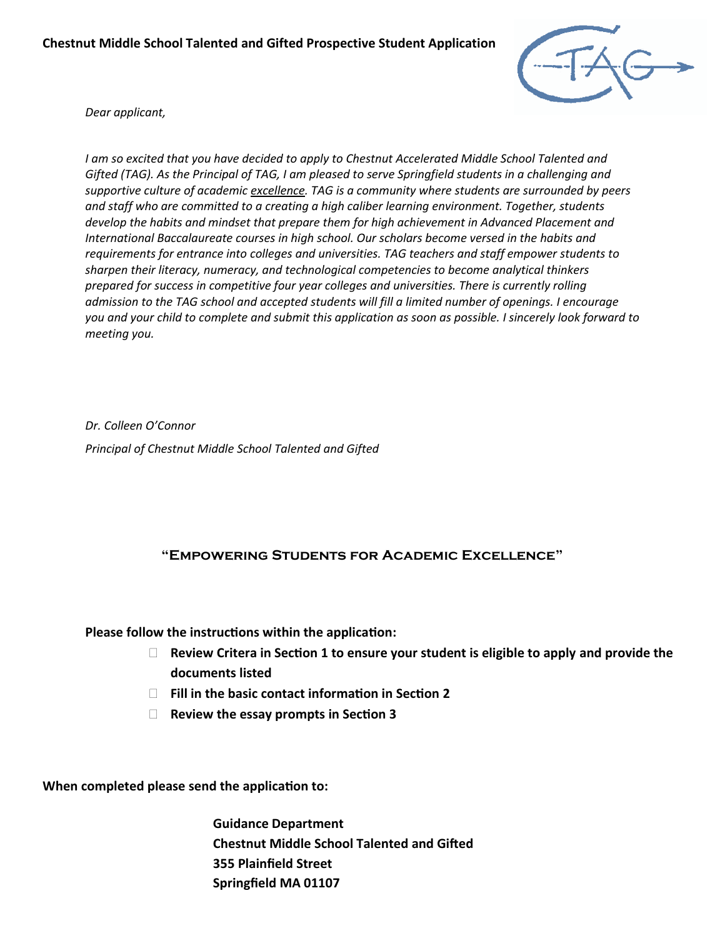

*Dear applicant,*

*I am so excited that you have decided to apply to Chestnut Accelerated Middle School Talented and Gifted (TAG). As the Principal of TAG, I am pleased to serve Springfield students in a challenging and supportive culture of academic excellence. TAG is a community where students are surrounded by peers and staff who are committed to a creating a high caliber learning environment. Together, students develop the habits and mindset that prepare them for high achievement in Advanced Placement and International Baccalaureate courses in high school. Our scholars become versed in the habits and requirements for entrance into colleges and universities. TAG teachers and staff empower students to sharpen their literacy, numeracy, and technological competencies to become analytical thinkers prepared for success in competitive four year colleges and universities. There is currently rolling admission to the TAG school and accepted students will fill a limited number of openings. I encourage you and your child to complete and submit this application as soon as possible. I sincerely look forward to meeting you.* 

*Dr. Colleen O'Connor Principal of Chestnut Middle School Talented and Gifted*

## **"Empowering Students for Academic Excellence"**

**Please follow the instructions within the application:**

- **Review Critera in Section 1 to ensure your student is eligible to apply and provide the documents listed**
- **Fill in the basic contact information in Section 2**
- **Review the essay prompts in Section 3**

**When completed please send the application to:**

**Guidance Department Chestnut Middle School Talented and Gifted 355 Plainfield Street Springfield MA 01107**